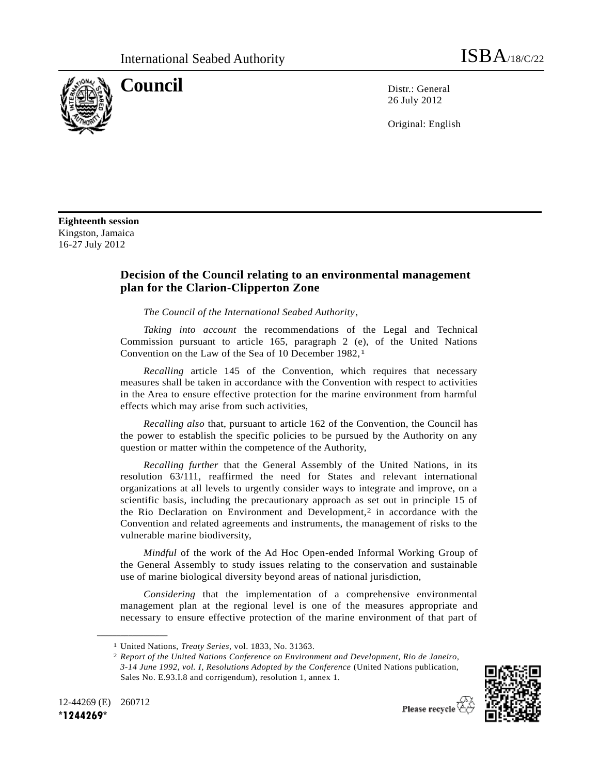

**Council** Distribution Distribution Distribution Distribution Distribution Distribution Distribution Distribution Distribution Distribution Distribution Distribution Distribution Distribution Distribution Distribution Dist 26 July 2012

Original: English

**Eighteenth session** Kingston, Jamaica 16-27 July 2012

## **Decision of the Council relating to an environmental management plan for the Clarion-Clipperton Zone**

<span id="page-0-0"></span>*The Council of the International Seabed Authority*,

*Taking into account* the recommendations of the Legal and Technical Commission pursuant to article 165, paragraph 2 (e), of the United Nations Convention on the Law of the Sea of 10 December 1982,<sup>1</sup>

*Recalling* article 145 of the Convention, which requires that necessary measures shall be taken in accordance with the Convention with respect to activities in the Area to ensure effective protection for the marine environment from harmful effects which may arise from such activities,

*Recalling also* that, pursuant to article 162 of the Convention, the Council has the power to establish the specific policies to be pursued by the Authority on any question or matter within the competence of the Authority,

*Recalling further* that the General Assembly of the United Nations, in its resolution 63/111, reaffirmed the need for States and relevant international organizations at all levels to urgently consider ways to integrate and improve, on a scientific basis, including the precautionary approach as set out in principle 15 of the Rio Declaration on Environment and Development,<sup>2</sup> in accordance with the Convention and related agreements and instruments, the management of risks to the vulnerable marine biodiversity,

*Mindful* of the work of the Ad Hoc Open-ended Informal Working Group of the General Assembly to study issues relating to the conservation and sustainable use of marine biological diversity beyond areas of national jurisdiction,

*Considering* that the implementation of a comprehensive environmental management plan at the regional level is one of the measures appropriate and necessary to ensure effective protection of the marine environment of that part of

<sup>2</sup> *Report of the United Nations Conference on Environment and Development, Rio de Janeiro, 3-14 June 1992, vol. I, Resolutions Adopted by the Conference* (United Nations publication, Sales No. E.93.I.8 and corrigendum), resolution 1, annex 1.



12-44269 (E) 260712 **\*1244269\***

**\_\_\_\_\_\_\_\_\_\_\_\_\_\_\_\_\_\_**

<sup>1</sup> United Nations, *Treaty Series*, vol. 1833, No. 31363.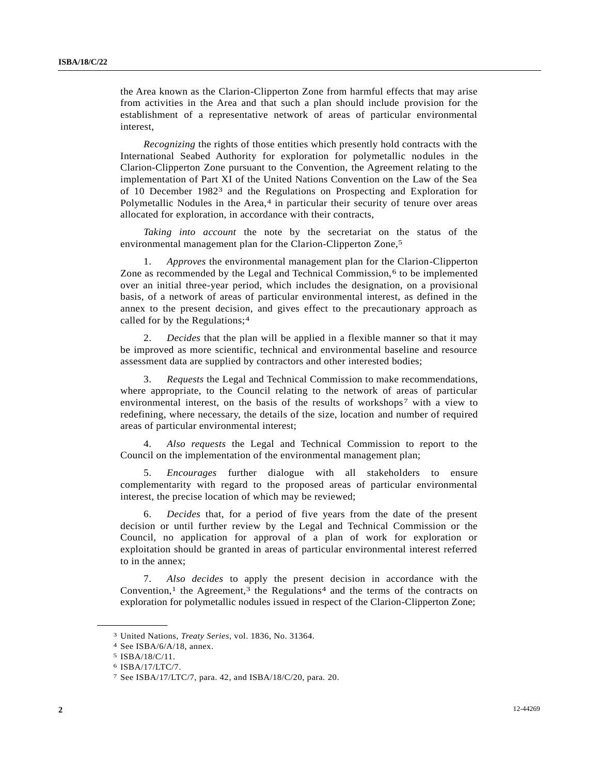the Area known as the Clarion-Clipperton Zone from harmful effects that may arise from activities in the Area and that such a plan should include provision for the establishment of a representative network of areas of particular environmental interest,

*Recognizing* the rights of those entities which presently hold contracts with the International Seabed Authority for exploration for polymetallic nodules in the Clarion-Clipperton Zone pursuant to the Convention, the Agreement relating to the implementation of Part XI of the United Nations Convention on the Law of the Sea of 10 December 19823 and the Regulations on Prospecting and Exploration for Polymetallic Nodules in the Area,<sup>4</sup> in particular their security of tenure over areas allocated for exploration, in accordance with their contracts,

<span id="page-1-1"></span><span id="page-1-0"></span>*Taking into account* the note by the secretariat on the status of the environmental management plan for the Clarion-Clipperton Zone,<sup>5</sup>

1. *Approves* the environmental management plan for the Clarion-Clipperton Zone as recommended by the Legal and Technical Commission,<sup>6</sup> to be implemented over an initial three-year period, which includes the designation, on a provisional basis, of a network of areas of particular environmental interest, as defined in the annex to the present decision, and gives effect to the precautionary approach as called for by the Regulations;[4](#page-1-0)

2. *Decides* that the plan will be applied in a flexible manner so that it may be improved as more scientific, technical and environmental baseline and resource assessment data are supplied by contractors and other interested bodies;

3. *Requests* the Legal and Technical Commission to make recommendations, where appropriate, to the Council relating to the network of areas of particular environmental interest, on the basis of the results of workshops7 with a view to redefining, where necessary, the details of the size, location and number of required areas of particular environmental interest;

4. *Also requests* the Legal and Technical Commission to report to the Council on the implementation of the environmental management plan;

5. *Encourages* further dialogue with all stakeholders to ensure complementarity with regard to the proposed areas of particular environmental interest, the precise location of which may be reviewed;

6. *Decides* that, for a period of five years from the date of the present decision or until further review by the Legal and Technical Commission or the Council, no application for approval of a plan of work for exploration or exploitation should be granted in areas of particular environmental interest referred to in the annex;

7. *Also decides* to apply the present decision in accordance with the Convention,<sup>[1](#page-0-0)</sup> the Agreement,<sup>[3](#page-1-1)</sup> the Regulations<sup>[4](#page-1-0)</sup> and the terms of the contracts on exploration for polymetallic nodules issued in respect of the Clarion-Clipperton Zone;

**\_\_\_\_\_\_\_\_\_\_\_\_\_\_\_\_\_\_**

<sup>3</sup> United Nations, *Treaty Series*, vol. 1836, No. 31364.

<sup>4</sup> See ISBA/6/A/18, annex.

<sup>5</sup> ISBA/18/C/11.

<sup>6</sup> ISBA/17/LTC/7.

<sup>7</sup> See ISBA/17/LTC/7, para. 42, and ISBA/18/C/20, para. 20.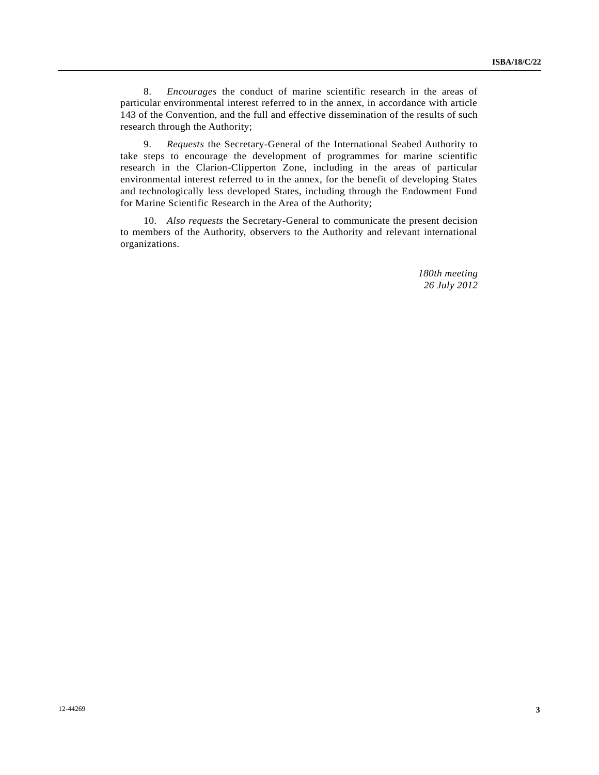8. *Encourages* the conduct of marine scientific research in the areas of particular environmental interest referred to in the annex, in accordance with article 143 of the Convention, and the full and effective dissemination of the results of such research through the Authority;

9. *Requests* the Secretary-General of the International Seabed Authority to take steps to encourage the development of programmes for marine scientific research in the Clarion-Clipperton Zone, including in the areas of particular environmental interest referred to in the annex, for the benefit of developing States and technologically less developed States, including through the Endowment Fund for Marine Scientific Research in the Area of the Authority;

10. *Also requests* the Secretary-General to communicate the present decision to members of the Authority, observers to the Authority and relevant international organizations.

> *180th meeting 26 July 2012*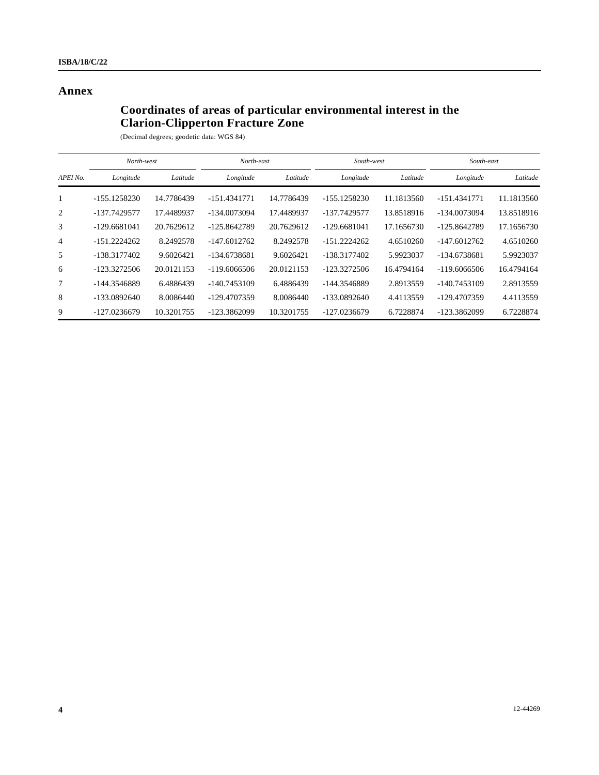## **Annex**

## **Coordinates of areas of particular environmental interest in the Clarion-Clipperton Fracture Zone**

| (Decimal degrees; geodetic data: WGS 84) |  |  |  |  |  |
|------------------------------------------|--|--|--|--|--|
|------------------------------------------|--|--|--|--|--|

|                | North-west     |            | North-east     |            | South-west     |            | South-east     |            |
|----------------|----------------|------------|----------------|------------|----------------|------------|----------------|------------|
| APEI No.       | Longitude      | Latitude   | Longitude      | Latitude   | Longitude      | Latitude   | Longitude      | Latitude   |
| 1              | -155.1258230   | 14.7786439 | $-151.4341771$ | 14.7786439 | $-155.1258230$ | 11.1813560 | $-151.4341771$ | 11.1813560 |
| 2              | -137.7429577   | 17.4489937 | -134.0073094   | 17.4489937 | -137.7429577   | 13.8518916 | -134.0073094   | 13.8518916 |
| 3              | $-129.6681041$ | 20.7629612 | -125.8642789   | 20.7629612 | $-129.6681041$ | 17.1656730 | -125.8642789   | 17.1656730 |
| $\overline{4}$ | $-151.2224262$ | 8.2492578  | $-147.6012762$ | 8.2492578  | $-151.2224262$ | 4.6510260  | $-147.6012762$ | 4.6510260  |
| 5              | -138.3177402   | 9.6026421  | -134.6738681   | 9.6026421  | -138.3177402   | 5.9923037  | -134.6738681   | 5.9923037  |
| 6              | $-123.3272506$ | 20.0121153 | $-119.6066506$ | 20.0121153 | $-123.3272506$ | 16.4794164 | $-119.6066506$ | 16.4794164 |
| 7              | -144.3546889   | 6.4886439  | -140.7453109   | 6.4886439  | -144.3546889   | 2.8913559  | -140.7453109   | 2.8913559  |
| 8              | $-133.0892640$ | 8.0086440  | -129.4707359   | 8.0086440  | $-133.0892640$ | 4.4113559  | -129.4707359   | 4.4113559  |
| 9              | -127.0236679   | 10.3201755 | -123.3862099   | 10.3201755 | -127.0236679   | 6.7228874  | -123.3862099   | 6.7228874  |